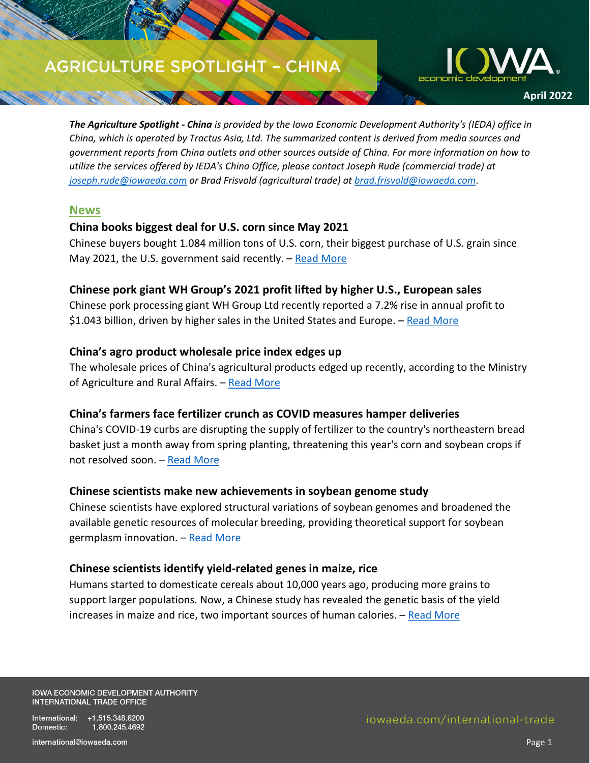# **AGRICULTURE SPOTLIGHT - CHINA**

SA MARINE



*The Agriculture Spotlight - China is provided by the Iowa Economic Development Authority's (IEDA) office in China, which is operated by Tractus Asia, Ltd. The summarized content is derived from media sources and government reports from China outlets and other sources outside of China. For more information on how to utilize the services offered by IEDA's China Office, please contact Joseph Rude (commercial trade) at [joseph.rude@iowaeda.com](mailto:joseph.rude@iowaeda.com) or Brad Frisvold (agricultural trade) at [brad.frisvold@iowaeda.com](mailto:brad.frisvold@iowaeda.com)*.

#### **News**

### **China books biggest deal for U.S. corn since May 2021**

Chinese buyers bought 1.084 million tons of U.S. corn, their biggest purchase of U.S. grain since May 2021, the U.S. government said recently.  $-$  [Read More](https://www.reuters.com/world/china/china-books-biggest-deal-us-corn-since-may-2021-2022-04-04/)

### **Chinese pork giant WH Group's 2021 profit lifted by higher U.S., European sales**

Chinese pork processing giant WH Group Ltd recently reported a 7.2% rise in annual profit to \$1.043 billion, driven by higher sales in the United States and Europe.  $-$  [Read More](https://www.reuters.com/world/china/chinese-pork-giant-wh-groups-2021-profit-lifted-by-higher-us-european-sales-2022-03-28/)

### **China's agro product wholesale price index edges up**

The wholesale prices of China's agricultural products edged up recently, according to the Ministry of Agriculture and Rural Affairs. - [Read More](https://www.chinadaily.com.cn/a/202203/18/WS623822d1a310fd2b29e52443.html)

#### **China's farmers face fertilizer crunch as COVID measures hamper deliveries**

China's COVID-19 curbs are disrupting the supply of fertilizer to the country's northeastern bread basket just a month away from spring planting, threatening this year's corn and soybean crops if not resolved soon. – [Read More](https://www.reuters.com/world/china/chinas-farmers-face-fertiliser-crunch-covid-measures-hamper-deliveries-2022-04-01/)

#### **Chinese scientists make new achievements in soybean genome study**

Chinese scientists have explored structural variations of soybean genomes and broadened the available genetic resources of molecular breeding, providing theoretical support for soybean germplasm innovation. - [Read More](https://www.chinadaily.com.cn/a/202203/16/WS62318204a310fd2b29e5141c.html)

#### **Chinese scientists identify yield-related genes in maize, rice**

Humans started to domesticate cereals about 10,000 years ago, producing more grains to support larger populations. Now, a Chinese study has revealed the genetic basis of the yield increases in maize and rice, two important sources of human calories.  $-$  [Read More](https://global.chinadaily.com.cn/a/202203/25/WS623d5b50a310fd2b29e53553.html)

**IOWA ECONOMIC DEVELOPMENT AUTHORITY INTERNATIONAL TRADE OFFICE** 

International: +1.515.348.6200 Domestic: 1.800.245.4692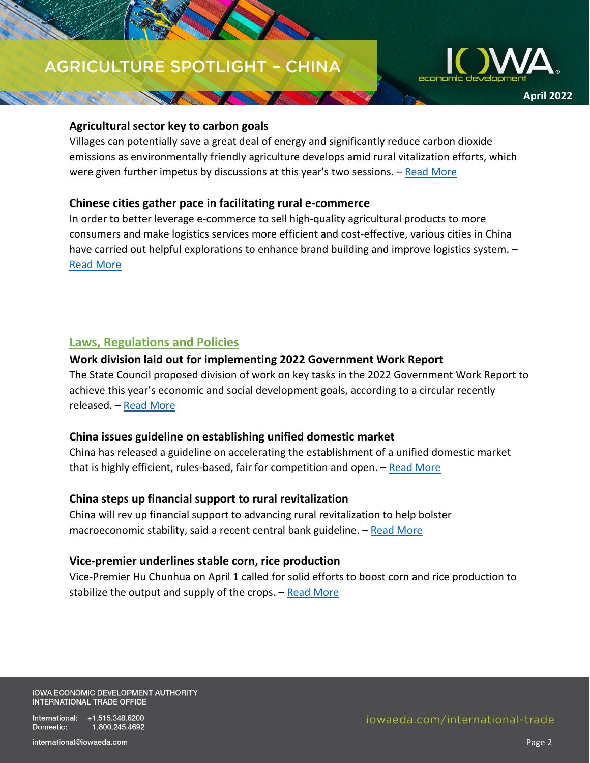# **AGRICULTURE SPOTLIGHT - CHINA**

Separation of the season



#### **Agricultural sector key to carbon goals**

Villages can potentially save a great deal of energy and significantly reduce carbon dioxide emissions as environmentally friendly agriculture develops amid rural vitalization efforts, which were given further impetus by discussions at this year's two sessions. – [Read More](https://www.chinadaily.com.cn/a/202203/28/WS62410cb3a310fd2b29e539a6.html)

#### **Chinese cities gather pace in facilitating rural e-commerce**

In order to better leverage e-commerce to sell high-quality agricultural products to more consumers and make logistics services more efficient and cost-effective, various cities in China have carried out helpful explorations to enhance brand building and improve logistics system. -[Read More](http://english.www.gov.cn/news/topnews/202203/18/content_WS6233e06fc6d02e5335327ef4.html)

### **Laws, Regulations and Policies**

#### **Work division laid out for implementing 2022 Government Work Report**

The State Council proposed division of work on key tasks in the 2022 Government Work Report to achieve this year's economic and social development goals, according to a circular recently released. – [Read More](http://english.www.gov.cn/policies/latestreleases/202203/25/content_WS623d86a7c6d02e5335328453.html)

#### **China issues guideline on establishing unified domestic market**

China has released a guideline on accelerating the establishment of a unified domestic market that is highly efficient, rules-based, fair for competition and open. [– Read More](http://english.www.gov.cn/policies/latestreleases/202204/11/content_WS625360f2c6d02e533532900f.html)

#### **China steps up financial support to rural revitalization**

China will rev up financial support to advancing rural revitalization to help bolster macroeconomic stability, said a recent central bank guideline. - Read More

#### **Vice-premier underlines stable corn, rice production**

Vice-Premier Hu Chunhua on April 1 called for solid efforts to boost corn and rice production to stabilize the output and supply of the crops.  $-$  [Read More](http://english.www.gov.cn/statecouncil/huchunhua/202204/02/content_WS62478261c6d02e5335328a31.html)

**IOWA ECONOMIC DEVELOPMENT AUTHORITY INTERNATIONAL TRADE OFFICE** 

International: +1.515.348.6200 Domestic: 1.800.245.4692